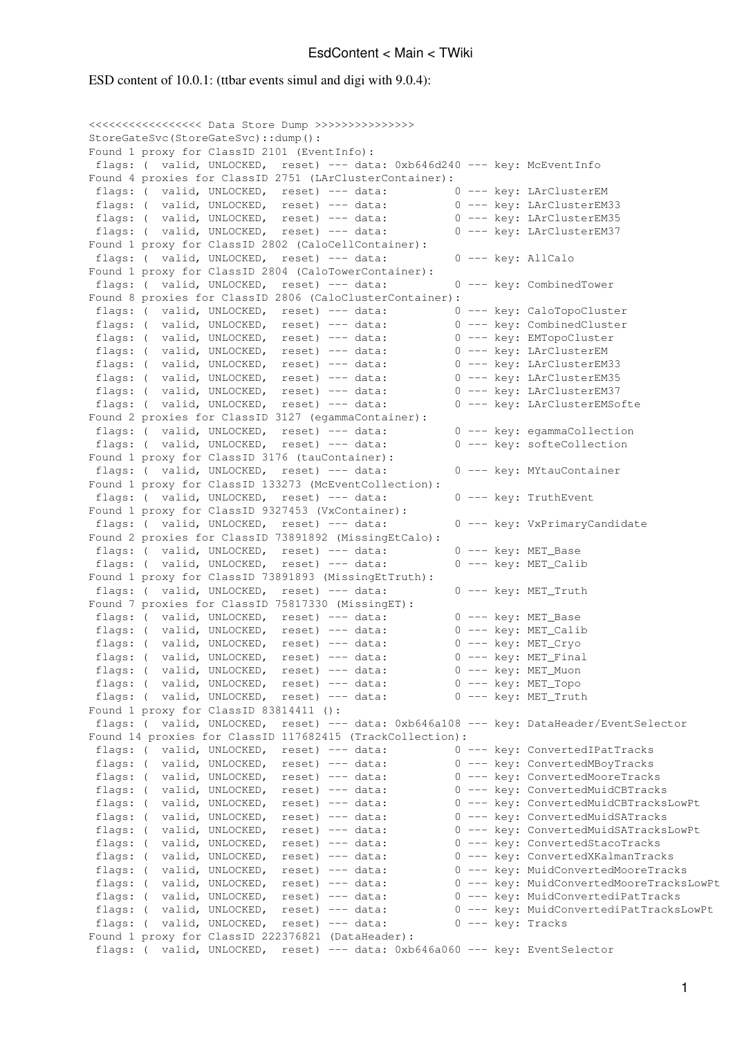## EsdContent < Main < TWiki

ESD content of 10.0.1: (ttbar events simul and digi with 9.0.4):

<<<<<<<<<<<<<<<<< Data Store Dump >>>>>>>>>>>>>>> StoreGateSvc(StoreGateSvc)::dump(): Found 1 proxy for ClassID 2101 (EventInfo): flags: ( valid, UNLOCKED, reset) --- data: 0xb646d240 --- key: McEventInfo Found 4 proxies for ClassID 2751 (LArClusterContainer): flags: ( valid, UNLOCKED, reset) --- data: 0 --- key: LArClusterEM flags: ( valid, UNLOCKED, reset) --- data: 0 --- key: LArClusterEM33 flags: ( valid, UNLOCKED, reset) --- data: 0 --- key: LArClusterEM35 flags: ( valid, UNLOCKED, reset) --- data: 0 --- key: LArClusterEM37 Found 1 proxy for ClassID 2802 (CaloCellContainer): flags: ( valid, UNLOCKED, reset) --- data: 0 --- key: AllCalo Found 1 proxy for ClassID 2804 (CaloTowerContainer): flags: ( valid, UNLOCKED, reset) --- data: 0 --- key: CombinedTower Found 8 proxies for ClassID 2806 (CaloClusterContainer): flags: ( valid, UNLOCKED, reset) --- data: 0 --- key: CaloTopoCluster flags: ( valid, UNLOCKED, reset) --- data: 0 --- key: CombinedCluster flags: ( valid, UNLOCKED, reset) --- data: 0 --- key: EMTopoCluster flags: ( valid, UNLOCKED, reset) --- data: 0 --- key: LArClusterEM flags: ( valid, UNLOCKED, reset) --- data: 0 --- key: LArClusterEM33 flags: ( valid, UNLOCKED, reset) --- data: 0 --- key: LArClusterEM35 flags: ( valid, UNLOCKED, reset) --- data: 0 --- key: LArClusterEM37 flags: ( valid, UNLOCKED, reset) --- data: 0 --- key: LArClusterEMSofte Found 2 proxies for ClassID 3127 (egammaContainer): flags: ( valid, UNLOCKED, reset) --- data: 0 --- key: egammaCollection flags: ( valid, UNLOCKED, reset) --- data: 0 --- key: softeCollection Found 1 proxy for ClassID 3176 (tauContainer): flags: ( valid, UNLOCKED, reset) --- data: 0 --- key: MYtauContainer Found 1 proxy for ClassID 133273 (McEventCollection): flags: ( valid, UNLOCKED, reset) --- data: 0 --- key: TruthEvent Found 1 proxy for ClassID 9327453 (VxContainer): flags: ( valid, UNLOCKED, reset) --- data: 0 --- key: VxPrimaryCandidate Found 2 proxies for ClassID 73891892 (MissingEtCalo): flags: ( valid, UNLOCKED, reset) --- data: 0 --- key: MET\_Base flags: ( valid, UNLOCKED, reset) --- data: 0 --- key: MET Calib Found 1 proxy for ClassID 73891893 (MissingEtTruth): flags: ( valid, UNLOCKED, reset) --- data: 0 --- key: MET\_Truth Found 7 proxies for ClassID 75817330 (MissingET): flags: ( valid, UNLOCKED, reset) --- data: 0 --- key: MET\_Base flags: ( valid, UNLOCKED, reset) --- data: 0 --- key: MET\_Calib<br>flags: ( valid, UNLOCKED, reset) --- data: 0 --- key: MET\_Cryo flags: ( valid, UNLOCKED, reset) --- data: flags: ( valid, UNLOCKED, reset) --- data: 0 --- key: MET\_Final flags: ( valid, UNLOCKED, reset) --- data: 0 --- key: MET\_Muon flags: ( valid, UNLOCKED, reset) --- data: 0 --- key: MET\_Topo flags: ( valid, UNLOCKED, reset) --- data: 0 --- key: MET\_Truth Found 1 proxy for ClassID 83814411 (): flags: ( valid, UNLOCKED, reset) --- data: 0xb646a108 --- key: DataHeader/EventSelector Found 14 proxies for ClassID 117682415 (TrackCollection): flags: ( valid, UNLOCKED, reset) --- data: 0 --- key: ConvertedIPatTracks flags: ( valid, UNLOCKED, reset) --- data: 0 --- key: ConvertedMBoyTracks flags: ( valid, UNLOCKED, reset) --- data: 0 --- key: ConvertedMooreTracks flags: ( valid, UNLOCKED, reset) --- data: 0 --- key: ConvertedMuidCBTracks<br>flags: ( valid, UNLOCKED, reset) --- data: 0 --- key: ConvertedMuidCBTracksLowPt flags: ( valid, UNLOCKED, reset) --- data: 0 --- key: ConvertedMuidCBTracksLowPt<br>flags: ( valid, UNLOCKED, reset) --- data: 0 --- key: ConvertedMuidSATracksLowPt<br>flags: ( valid, UNLOCKED, reset) --- data: 0 --- key: Conver flags: ( valid, UNLOCKED, reset) --- data: flags: ( valid, UNLOCKED, reset) --- data: 0 --- key: ConvertedMuidSATracksLowPt flags: ( valid, UNLOCKED, reset) --- data: 0 --- key: ConvertedStacoTracks flags: ( valid, UNLOCKED, reset) --- data: 0 --- key: ConvertedXKalmanTracks flags: ( valid, UNLOCKED, reset) --- data: 0 --- key: MuidConvertedMooreTracks flags: ( valid, UNLOCKED, reset) --- data: 0 --- key: MuidConvertedMooreTracksLowPt flags: ( valid, UNLOCKED, reset) --- data: 0 --- key: MuidConvertediPatTracks<br>flags: ( valid, UNLOCKED, reset) --- data: 0 --- key: MuidConvertediPatTracksLowPt flags: ( valid, UNLOCKED, reset) --- data: 0 --- key: MuidConvertediPatTracksLowPt flags: ( valid, UNLOCKED, reset) --- data: 0 --- key: Tracks Found 1 proxy for ClassID 222376821 (DataHeader): flags: ( valid, UNLOCKED, reset) --- data: 0xb646a060 --- key: EventSelector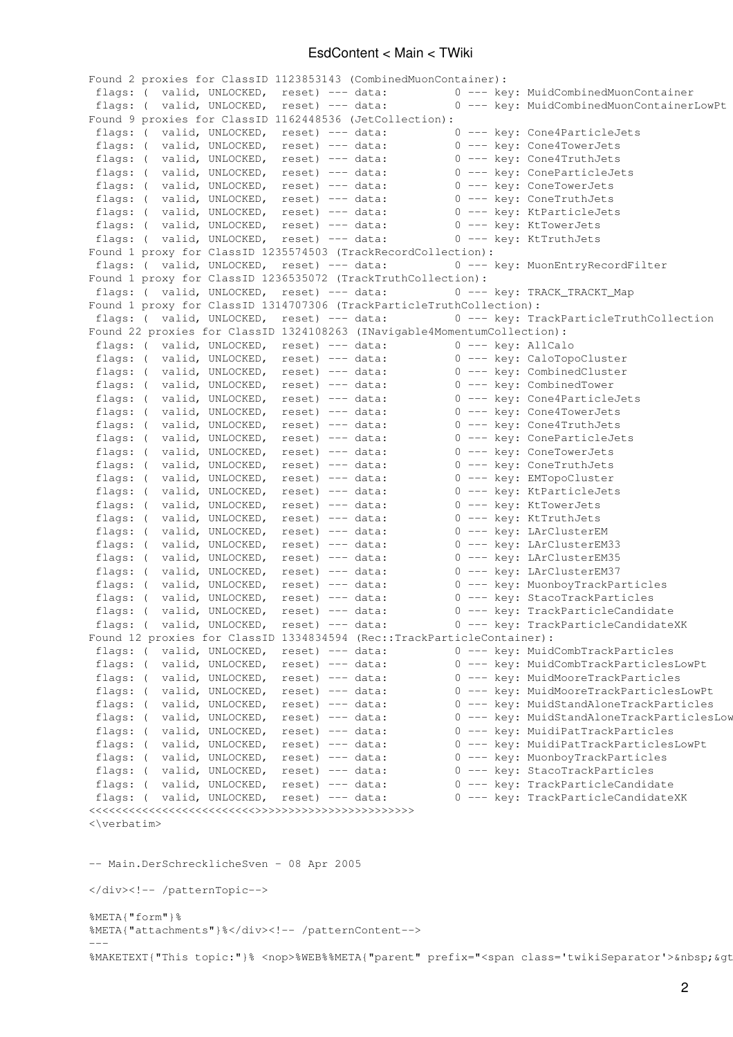## EsdContent < Main < TWiki

Found 2 proxies for ClassID 1123853143 (CombinedMuonContainer): flags: ( valid, UNLOCKED, reset) --- data: 0 --- key: MuidCombinedMuonContainer flags: ( valid, UNLOCKED, reset) --- data: 0 --- key: MuidCombinedMuonContainerLowPt Found 9 proxies for ClassID 1162448536 (JetCollection): flags: ( valid, UNLOCKED, reset) --- data: 0 --- key: Cone4ParticleJets<br>flags: ( valid, UNLOCKED, reset) --- data: 0 --- key: Cone4TowerJets flags: ( valid, UNLOCKED, reset) --- data: 0 --- key: Cone4TowerJets<br>flags: ( valid, UNLOCKED, reset) --- data: 0 --- key: Cone4TruthJets<br>flags: ( valid, UNLOCKED, reset) --- data: 0 --- key: ConeParticleJets flags: ( valid, UNLOCKED, reset) --- data: 0 --- key: Cone4TruthJets flags: ( valid, UNLOCKED, reset) --- data: 0 --- key: ConeParticleJets flags: ( valid, UNLOCKED, reset) --- data: 0 --- key: ConeTowerJets flags: ( valid, UNLOCKED, reset) --- data: 0 --- key: ConeTruthJets flags: ( valid, UNLOCKED, reset) --- data: 0 --- key: KtParticleJets<br>flags: ( valid. UNLOCKED, reset) --- data: 0 --- key: KtTowerJets flags: ( valid, UNLOCKED, reset) --- data: 0 --- key: KtTowerJets flags: ( valid, UNLOCKED, reset) --- data: 0 --- key: KtTruthJets Found 1 proxy for ClassID 1235574503 (TrackRecordCollection): flags: ( valid, UNLOCKED, reset) --- data: 0 --- key: MuonEntryRecordFilter Found 1 proxy for ClassID 1236535072 (TrackTruthCollection): flags: ( valid, UNLOCKED, reset) --- data: 0 --- key: TRACK\_TRACKT\_Map Found 1 proxy for ClassID 1314707306 (TrackParticleTruthCollection): flags: ( valid, UNLOCKED, reset) --- data: 0 --- key: TrackParticleTruthCollection Found 22 proxies for ClassID 1324108263 (INavigable4MomentumCollection): flags: ( valid, UNLOCKED, reset) --- data: 0 --- key: AllCalo flags: ( valid, UNLOCKED, reset) --- data: 0 --- key: CaloTopoCluster flags: ( valid, UNLOCKED, reset) --- data: 0 --- key: CombinedCluster Flags: ( valid, UNLOCKED, reset) --- data: 0 --- key: CombinedCluster<br>flags: ( valid, UNLOCKED, reset) --- data: 0 --- key: CombinedTower<br>flags: ( valid, UNLOCKED, reset) --- data: 0 --- key: Cone4ParticleJets<br>flags: ( val flags: ( valid, UNLOCKED, reset) --- data: flags: ( valid, UNLOCKED, reset) --- data: flags: ( valid, UNLOCKED, reset) --- data: 0 --- key: Cone4TruthJets flags: ( valid, UNLOCKED, reset) --- data: 0 --- key: ConeParticleJets<br>flags: ( valid, UNLOCKED, reset) --- data: 0 --- key: ConeTowerJets flags: ( valid, UNLOCKED, reset) --- data: 0 --- key: ConeTowerJets<br>flags: ( valid, UNLOCKED, reset) --- data: 0 --- key: ConeTruthJets flags: ( valid, UNLOCKED, reset) --- data: 0 --- key: ConeTruthJets<br>flags: ( valid, UNLOCKED, reset) --- data: 0 --- key: EMTopoCluster flags: ( valid, UNLOCKED, reset) --- data: 0 --- key: EMTopoCluster<br>flags: ( valid, UNLOCKED, reset) --- data: 0 --- key: KtParticleJets<br>flags: ( valid, UNLOCKED, reset) --- data: 0 --- key: KtTowerJets flags: ( valid, UNLOCKED, reset) --- data: flags: ( valid, UNLOCKED, reset) --- data: 0 --- key: KtTowerJets flags: ( valid, UNLOCKED, reset) --- data: 0 --- key: KtTruthJets flags: ( valid, UNLOCKED, reset) --- data: 0 --- key: LArClusterEM flags: ( valid, UNLOCKED, reset) --- data: 0 --- key: LArClusterEM33 flags: ( valid, UNLOCKED, reset) --- data: 0 --- key: LArClusterEM35 flags: ( valid, UNLOCKED, reset) --- data: 0 --- key: LArClusterEM37 flags: ( valid, UNLOCKED, reset) --- data: 0 --- key: MuonboyTrackParticles flags: ( valid, UNLOCKED, reset) --- data: 0 --- key: StacoTrackParticles flags: ( valid, UNLOCKED, reset) --- data: 0 --- key: TrackParticleCandidate flags: ( valid, UNLOCKED, reset) --- data: 0 --- key: TrackParticleCandidateXK Found 12 proxies for ClassID 1334834594 (Rec::TrackParticleContainer): flags: ( valid, UNLOCKED, reset) --- data: 0 --- key: MuidCombTrackParticles<br>flags: ( valid, UNLOCKED, reset) --- data: 0 --- key: MuidCombTrackParticlesLowPt flags: ( valid, UNLOCKED, reset) --- data: 0 --- key: MuidCombTrackParticlesLowPt<br>flags: ( valid, UNLOCKED, reset) --- data: 0 --- key: MuidMooreTrackParticlesLowPt<br>flags: ( valid, UNLOCKED, reset) --- data: 0 --- key: Mui flags: ( valid, UNLOCKED, reset) --- data: flags: ( valid, UNLOCKED, reset) --- data: 0 --- key: MuidMooreTrackParticlesLowPt flags: ( valid, UNLOCKED, reset) --- data: 0 --- key: MuidStandAloneTrackParticles flags: ( valid, UNLOCKED, reset) --- data: 0 --- key: MuidStandAloneTrackParticlesLow flags: ( valid, UNLOCKED, reset) --- data: 0 --- key: MuidiPatTrackParticles flags: ( valid, UNLOCKED, reset) --- data: 0 --- key: MuidiPatTrackParticlesLowPt<br>flags: ( valid, UNLOCKED, reset) --- data: 0 --- key: MuonboyTrackParticles flags: ( valid, UNLOCKED, reset) --- data: flags: ( valid, UNLOCKED, reset) --- data: 0 --- key: StacoTrackParticles flags: ( valid, UNLOCKED, reset) --- data: 0 --- key: TrackParticleCandidate flags: ( valid, UNLOCKED, reset) --- data: 0 --- key: TrackParticleCandidateXK </</>  $\langle \text{verhatim}\rangle$ -- Main.DerSchrecklicheSven - 08 Apr 2005 </div><!-- /patternTopic-->

```
%META{"form"}%
%META{"attachments"}%</div><!-- /patternContent-->
---
```

```
%MAKETEXT{"This topic:"}% <nop>%WEB%%META{"parent" prefix="<span class='twikiSeparator'>&nbsp; &qt
```